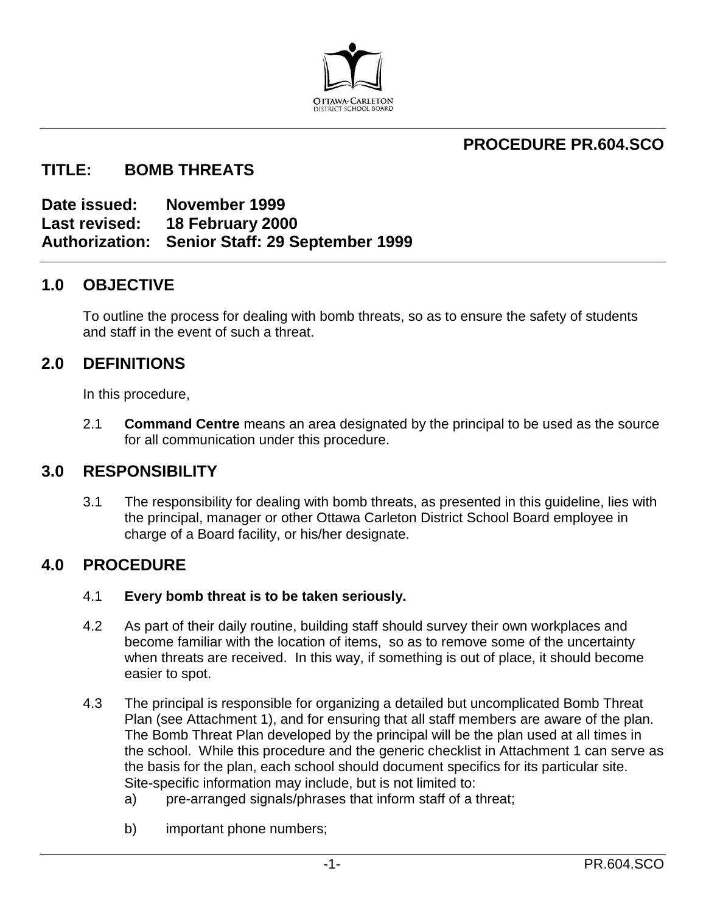

# **PROCEDURE PR.604.SCO**

# **TITLE: BOMB THREATS**

**Date issued: November 1999 Last revised: 18 February 2000 Authorization: Senior Staff: 29 September 1999**

# **1.0 OBJECTIVE**

To outline the process for dealing with bomb threats, so as to ensure the safety of students and staff in the event of such a threat.

# **2.0 DEFINITIONS**

In this procedure,

2.1 **Command Centre** means an area designated by the principal to be used as the source for all communication under this procedure.

# **3.0 RESPONSIBILITY**

3.1 The responsibility for dealing with bomb threats, as presented in this guideline, lies with the principal, manager or other Ottawa Carleton District School Board employee in charge of a Board facility, or his/her designate.

# **4.0 PROCEDURE**

# 4.1 **Every bomb threat is to be taken seriously.**

- 4.2 As part of their daily routine, building staff should survey their own workplaces and become familiar with the location of items, so as to remove some of the uncertainty when threats are received. In this way, if something is out of place, it should become easier to spot.
- 4.3 The principal is responsible for organizing a detailed but uncomplicated Bomb Threat Plan (see Attachment 1), and for ensuring that all staff members are aware of the plan. The Bomb Threat Plan developed by the principal will be the plan used at all times in the school. While this procedure and the generic checklist in Attachment 1 can serve as the basis for the plan, each school should document specifics for its particular site. Site-specific information may include, but is not limited to:
	- a) pre-arranged signals/phrases that inform staff of a threat;
	- b) important phone numbers;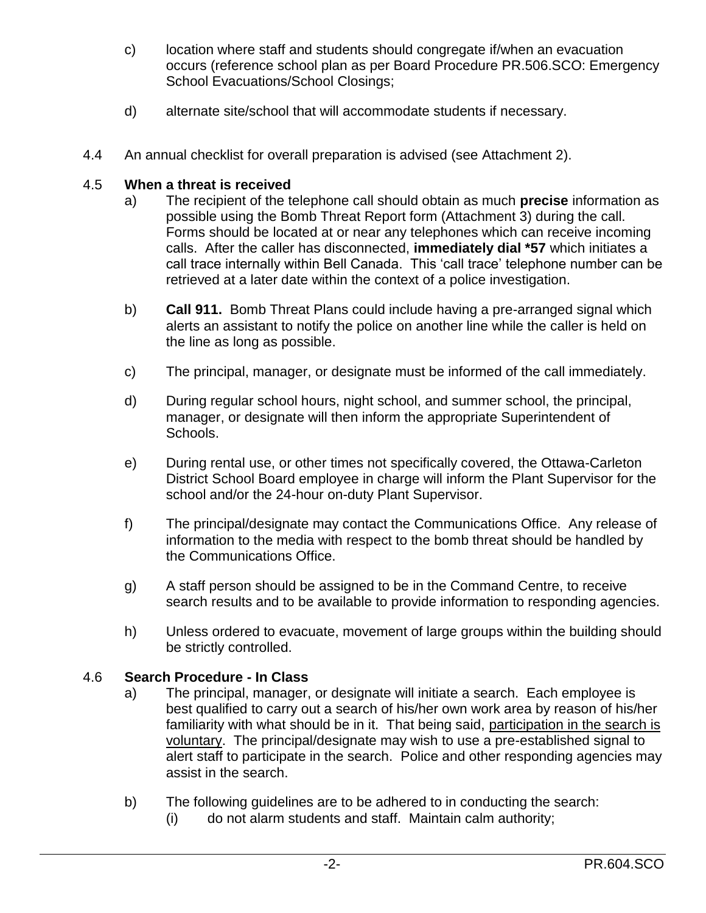- c) location where staff and students should congregate if/when an evacuation occurs (reference school plan as per Board Procedure PR.506.SCO: Emergency School Evacuations/School Closings;
- d) alternate site/school that will accommodate students if necessary.
- 4.4 An annual checklist for overall preparation is advised (see Attachment 2).

# 4.5 **When a threat is received**

- a) The recipient of the telephone call should obtain as much **precise** information as possible using the Bomb Threat Report form (Attachment 3) during the call. Forms should be located at or near any telephones which can receive incoming calls. After the caller has disconnected, **immediately dial \*57** which initiates a call trace internally within Bell Canada. This 'call trace' telephone number can be retrieved at a later date within the context of a police investigation.
- b) **Call 911.** Bomb Threat Plans could include having a pre-arranged signal which alerts an assistant to notify the police on another line while the caller is held on the line as long as possible.
- c) The principal, manager, or designate must be informed of the call immediately.
- d) During regular school hours, night school, and summer school, the principal, manager, or designate will then inform the appropriate Superintendent of Schools.
- e) During rental use, or other times not specifically covered, the Ottawa-Carleton District School Board employee in charge will inform the Plant Supervisor for the school and/or the 24-hour on-duty Plant Supervisor.
- f) The principal/designate may contact the Communications Office. Any release of information to the media with respect to the bomb threat should be handled by the Communications Office.
- g) A staff person should be assigned to be in the Command Centre, to receive search results and to be available to provide information to responding agencies.
- h) Unless ordered to evacuate, movement of large groups within the building should be strictly controlled.

# 4.6 **Search Procedure - In Class**

- a) The principal, manager, or designate will initiate a search. Each employee is best qualified to carry out a search of his/her own work area by reason of his/her familiarity with what should be in it. That being said, participation in the search is voluntary. The principal/designate may wish to use a pre-established signal to alert staff to participate in the search. Police and other responding agencies may assist in the search.
- b) The following guidelines are to be adhered to in conducting the search:
	- (i) do not alarm students and staff. Maintain calm authority;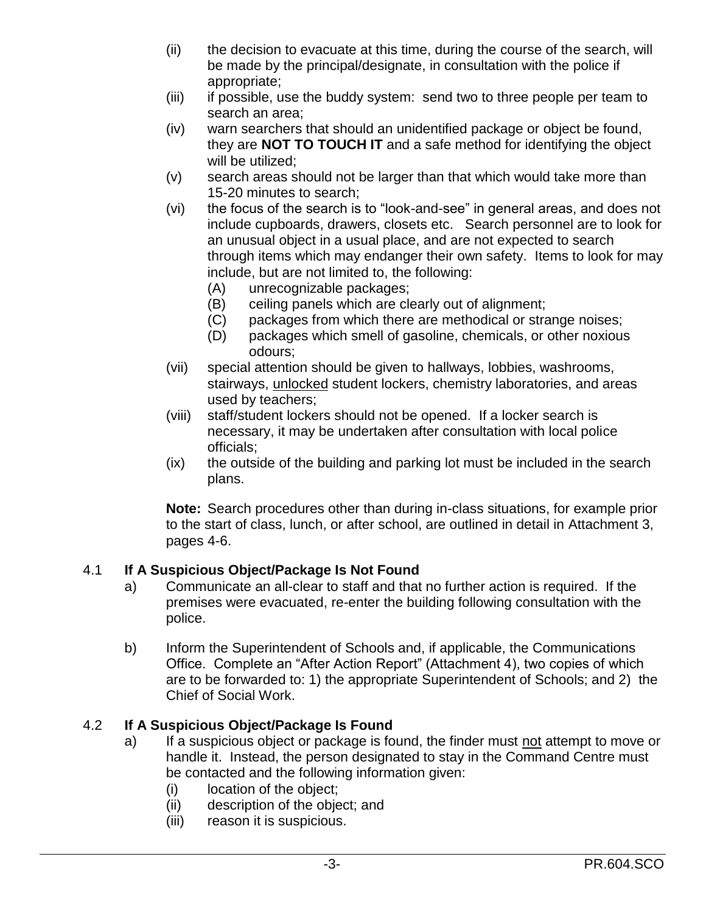- (ii) the decision to evacuate at this time, during the course of the search, will be made by the principal/designate, in consultation with the police if appropriate;
- (iii) if possible, use the buddy system: send two to three people per team to search an area;
- (iv) warn searchers that should an unidentified package or object be found, they are **NOT TO TOUCH IT** and a safe method for identifying the object will be utilized;
- (v) search areas should not be larger than that which would take more than 15-20 minutes to search;
- (vi) the focus of the search is to "look-and-see" in general areas, and does not include cupboards, drawers, closets etc. Search personnel are to look for an unusual object in a usual place, and are not expected to search through items which may endanger their own safety. Items to look for may include, but are not limited to, the following:
	- (A) unrecognizable packages;
	- (B) ceiling panels which are clearly out of alignment;
	- (C) packages from which there are methodical or strange noises;
	- (D) packages which smell of gasoline, chemicals, or other noxious odours;
- (vii) special attention should be given to hallways, lobbies, washrooms, stairways, unlocked student lockers, chemistry laboratories, and areas used by teachers;
- (viii) staff/student lockers should not be opened. If a locker search is necessary, it may be undertaken after consultation with local police officials;
- (ix) the outside of the building and parking lot must be included in the search plans.

**Note:** Search procedures other than during in-class situations, for example prior to the start of class, lunch, or after school, are outlined in detail in Attachment 3, pages 4-6.

# 4.1 **If A Suspicious Object/Package Is Not Found**

- a) Communicate an all-clear to staff and that no further action is required. If the premises were evacuated, re-enter the building following consultation with the police.
- b) Inform the Superintendent of Schools and, if applicable, the Communications Office. Complete an "After Action Report" (Attachment 4), two copies of which are to be forwarded to: 1) the appropriate Superintendent of Schools; and 2) the Chief of Social Work.

# 4.2 **If A Suspicious Object/Package Is Found**

- a) If a suspicious object or package is found, the finder must not attempt to move or handle it. Instead, the person designated to stay in the Command Centre must be contacted and the following information given:
	- (i) location of the object;
	- (ii) description of the object; and
	- (iii) reason it is suspicious.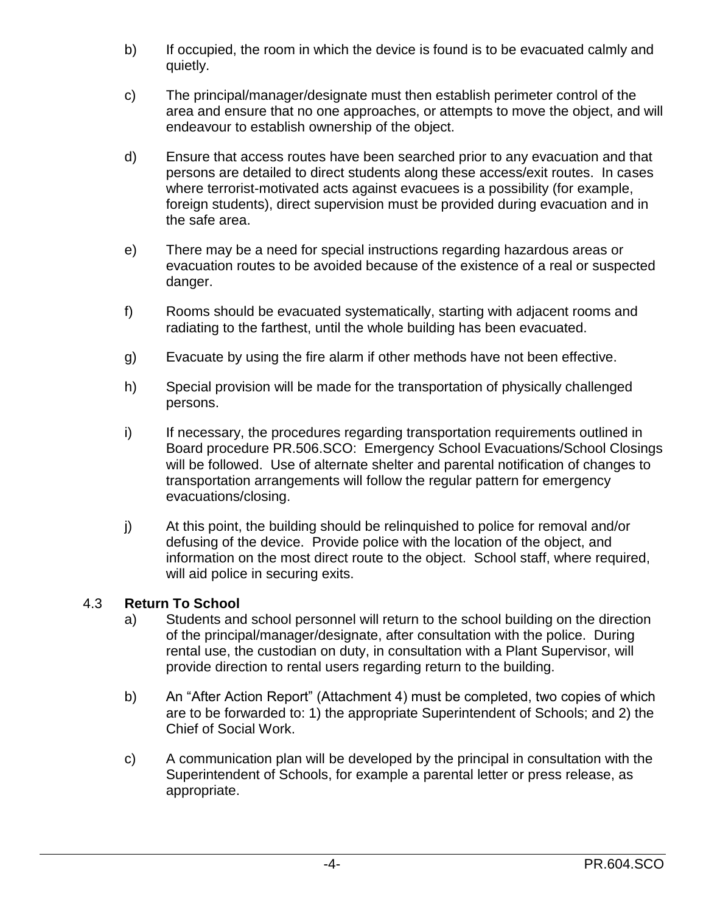- b) If occupied, the room in which the device is found is to be evacuated calmly and quietly.
- c) The principal/manager/designate must then establish perimeter control of the area and ensure that no one approaches, or attempts to move the object, and will endeavour to establish ownership of the object.
- d) Ensure that access routes have been searched prior to any evacuation and that persons are detailed to direct students along these access/exit routes. In cases where terrorist-motivated acts against evacuees is a possibility (for example, foreign students), direct supervision must be provided during evacuation and in the safe area.
- e) There may be a need for special instructions regarding hazardous areas or evacuation routes to be avoided because of the existence of a real or suspected danger.
- f) Rooms should be evacuated systematically, starting with adjacent rooms and radiating to the farthest, until the whole building has been evacuated.
- g) Evacuate by using the fire alarm if other methods have not been effective.
- h) Special provision will be made for the transportation of physically challenged persons.
- i) If necessary, the procedures regarding transportation requirements outlined in Board procedure PR.506.SCO: Emergency School Evacuations/School Closings will be followed. Use of alternate shelter and parental notification of changes to transportation arrangements will follow the regular pattern for emergency evacuations/closing.
- j) At this point, the building should be relinquished to police for removal and/or defusing of the device. Provide police with the location of the object, and information on the most direct route to the object. School staff, where required, will aid police in securing exits.

# 4.3 **Return To School**

- a) Students and school personnel will return to the school building on the direction of the principal/manager/designate, after consultation with the police. During rental use, the custodian on duty, in consultation with a Plant Supervisor, will provide direction to rental users regarding return to the building.
- b) An "After Action Report" (Attachment 4) must be completed, two copies of which are to be forwarded to: 1) the appropriate Superintendent of Schools; and 2) the Chief of Social Work.
- c) A communication plan will be developed by the principal in consultation with the Superintendent of Schools, for example a parental letter or press release, as appropriate.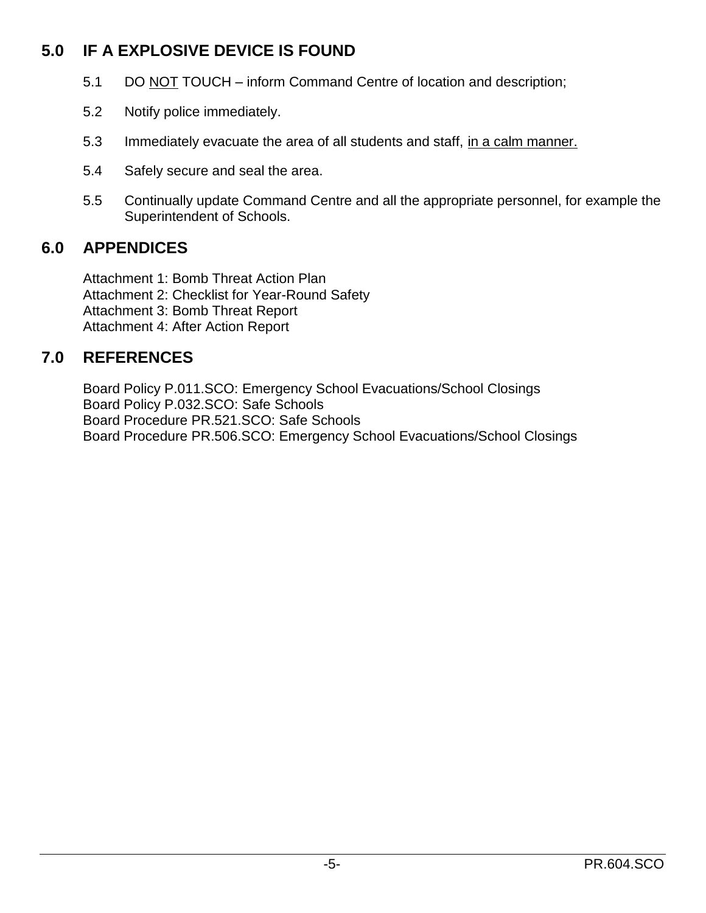# **5.0 IF A EXPLOSIVE DEVICE IS FOUND**

- 5.1 DO NOT TOUCH inform Command Centre of location and description;
- 5.2 Notify police immediately.
- 5.3 Immediately evacuate the area of all students and staff, in a calm manner.
- 5.4 Safely secure and seal the area.
- 5.5 Continually update Command Centre and all the appropriate personnel, for example the Superintendent of Schools.

# **6.0 APPENDICES**

Attachment 1: Bomb Threat Action Plan Attachment 2: Checklist for Year-Round Safety Attachment 3: Bomb Threat Report Attachment 4: After Action Report

# **7.0 REFERENCES**

Board Policy P.011.SCO: Emergency School Evacuations/School Closings Board Policy P.032.SCO: Safe Schools Board Procedure PR.521.SCO: Safe Schools Board Procedure PR.506.SCO: Emergency School Evacuations/School Closings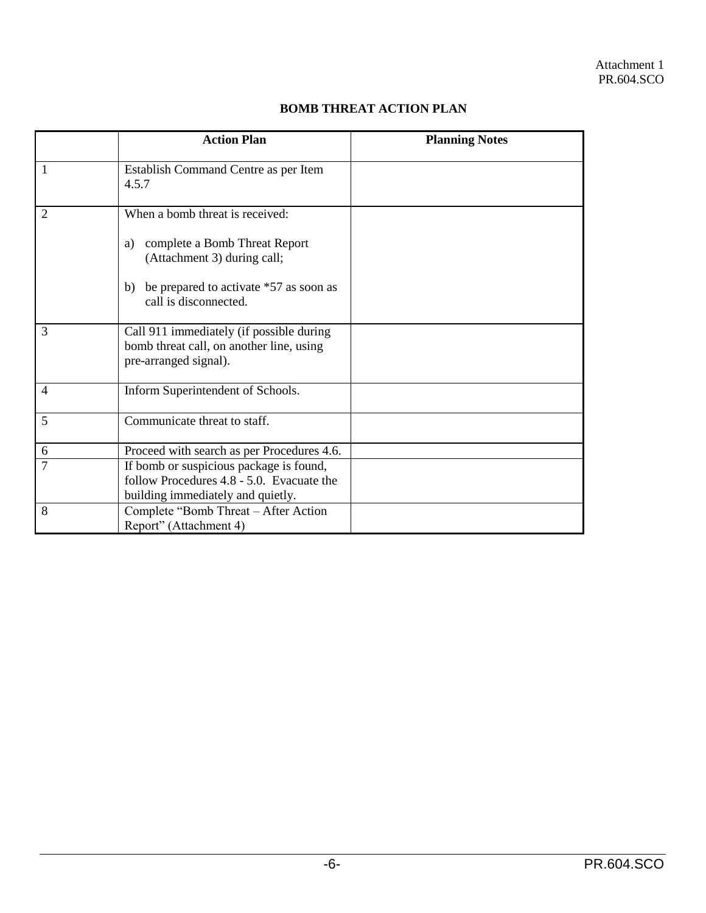|                | <b>Action Plan</b>                                                                                                                                                             | <b>Planning Notes</b> |
|----------------|--------------------------------------------------------------------------------------------------------------------------------------------------------------------------------|-----------------------|
| $\overline{1}$ | Establish Command Centre as per Item<br>4.5.7                                                                                                                                  |                       |
| 2              | When a bomb threat is received:<br>complete a Bomb Threat Report<br>a)<br>(Attachment 3) during call;<br>be prepared to activate *57 as soon as<br>b)<br>call is disconnected. |                       |
| 3              | Call 911 immediately (if possible during<br>bomb threat call, on another line, using<br>pre-arranged signal).                                                                  |                       |
| $\overline{4}$ | Inform Superintendent of Schools.                                                                                                                                              |                       |
| 5              | Communicate threat to staff.                                                                                                                                                   |                       |
| 6              | Proceed with search as per Procedures 4.6.                                                                                                                                     |                       |
| $\overline{7}$ | If bomb or suspicious package is found,<br>follow Procedures 4.8 - 5.0. Evacuate the<br>building immediately and quietly.                                                      |                       |
| 8              | Complete "Bomb Threat - After Action<br>Report" (Attachment 4)                                                                                                                 |                       |

# **BOMB THREAT ACTION PLAN**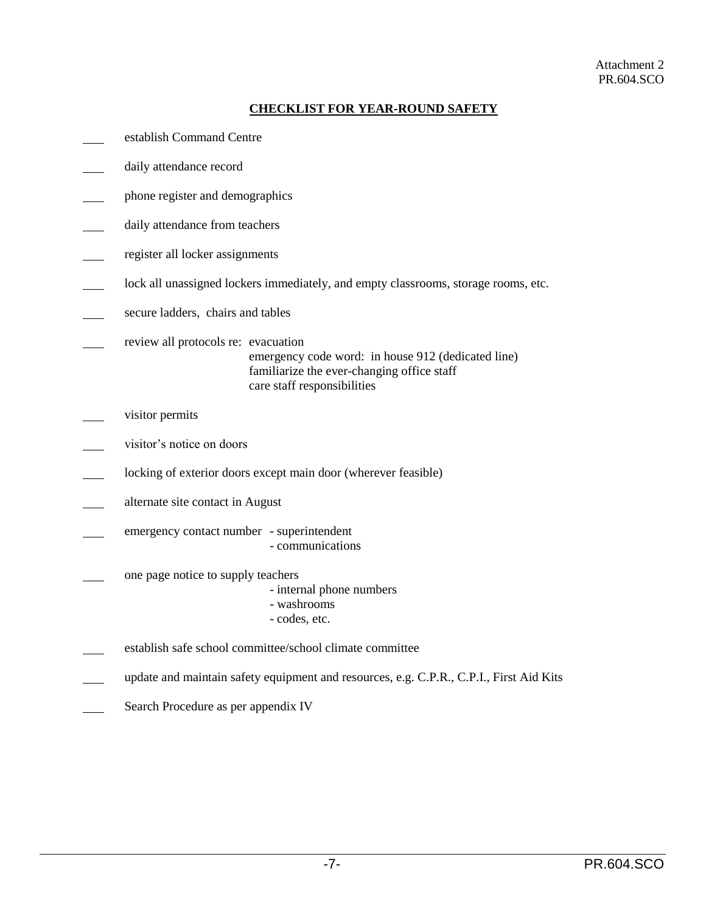### Attachment 2 PR.604.SCO

# **CHECKLIST FOR YEAR-ROUND SAFETY**

- establish Command Centre
- daily attendance record
- phone register and demographics
- daily attendance from teachers
- register all locker assignments
- lock all unassigned lockers immediately, and empty classrooms, storage rooms, etc.  $\overline{\phantom{a}}$
- secure ladders, chairs and tables
- review all protocols re: evacuation emergency code word: in house 912 (dedicated line) familiarize the ever-changing office staff care staff responsibilities
- visitor permits
- visitor's notice on doors
- locking of exterior doors except main door (wherever feasible)
- alternate site contact in August
- emergency contact number superintendent - communications
- one page notice to supply teachers
	- internal phone numbers
	- washrooms
	- codes, etc.
- establish safe school committee/school climate committee
- update and maintain safety equipment and resources, e.g. C.P.R., C.P.I., First Aid Kits
- Search Procedure as per appendix IV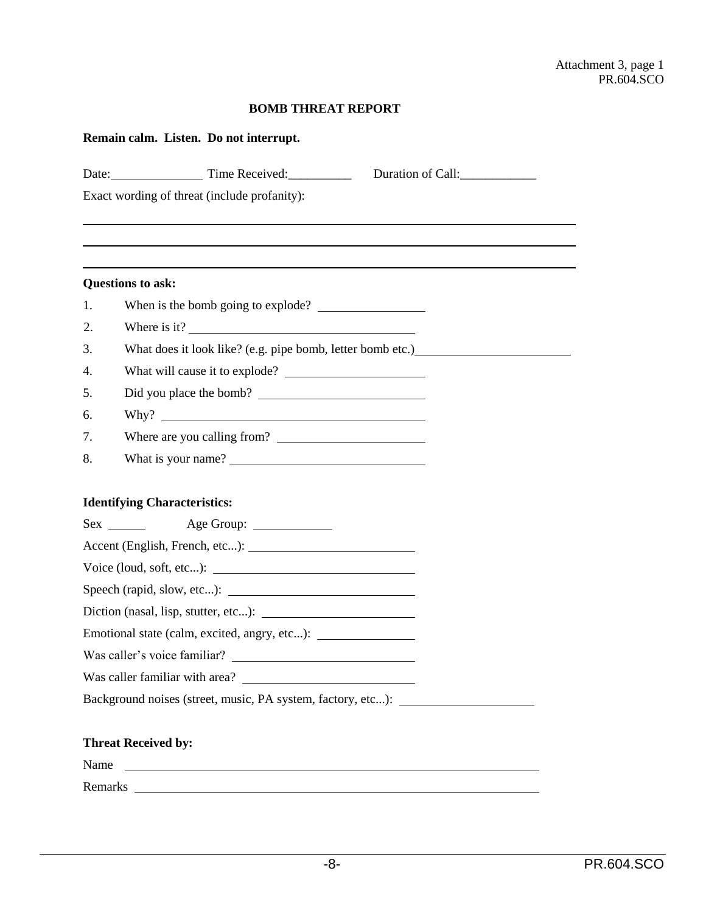# **BOMB THREAT REPORT**

|          | Date: Time Received:                                                           | Duration of Call: |  |  |
|----------|--------------------------------------------------------------------------------|-------------------|--|--|
|          | Exact wording of threat (include profanity):                                   |                   |  |  |
|          |                                                                                |                   |  |  |
|          |                                                                                |                   |  |  |
|          | <b>Questions to ask:</b>                                                       |                   |  |  |
| 1.       |                                                                                |                   |  |  |
| 2.       | Where is it?                                                                   |                   |  |  |
| 3.       | What does it look like? (e.g. pipe bomb, letter bomb etc.)                     |                   |  |  |
| 4.       |                                                                                |                   |  |  |
| 5.<br>6. | Did you place the bomb?                                                        |                   |  |  |
|          |                                                                                |                   |  |  |
| 7.       | Where are you calling from?                                                    |                   |  |  |
| 8.       | What is your name?                                                             |                   |  |  |
|          | <b>Identifying Characteristics:</b>                                            |                   |  |  |
|          |                                                                                |                   |  |  |
|          |                                                                                |                   |  |  |
|          |                                                                                |                   |  |  |
|          | Speech (rapid, slow, etc):                                                     |                   |  |  |
|          |                                                                                |                   |  |  |
|          | Emotional state (calm, excited, angry, etc): _________________________________ |                   |  |  |
|          |                                                                                |                   |  |  |
|          |                                                                                |                   |  |  |
|          | Background noises (street, music, PA system, factory, etc): _________________  |                   |  |  |
|          |                                                                                |                   |  |  |
|          | <b>Threat Received by:</b>                                                     |                   |  |  |
| Name     | <u> 1989 - Andrea Barbara, poeta esperanto-</u>                                |                   |  |  |
|          |                                                                                |                   |  |  |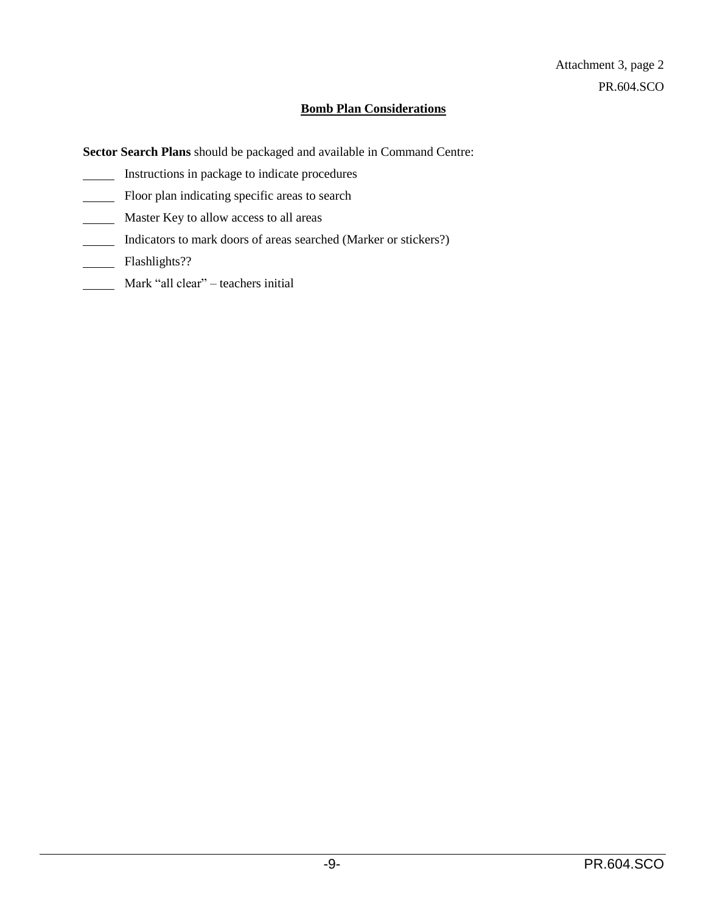# **Bomb Plan Considerations**

**Sector Search Plans** should be packaged and available in Command Centre:

- Instructions in package to indicate procedures
- Floor plan indicating specific areas to search
- Master Key to allow access to all areas
- Indicators to mark doors of areas searched (Marker or stickers?)
- Flashlights??
- Mark "all clear" teachers initial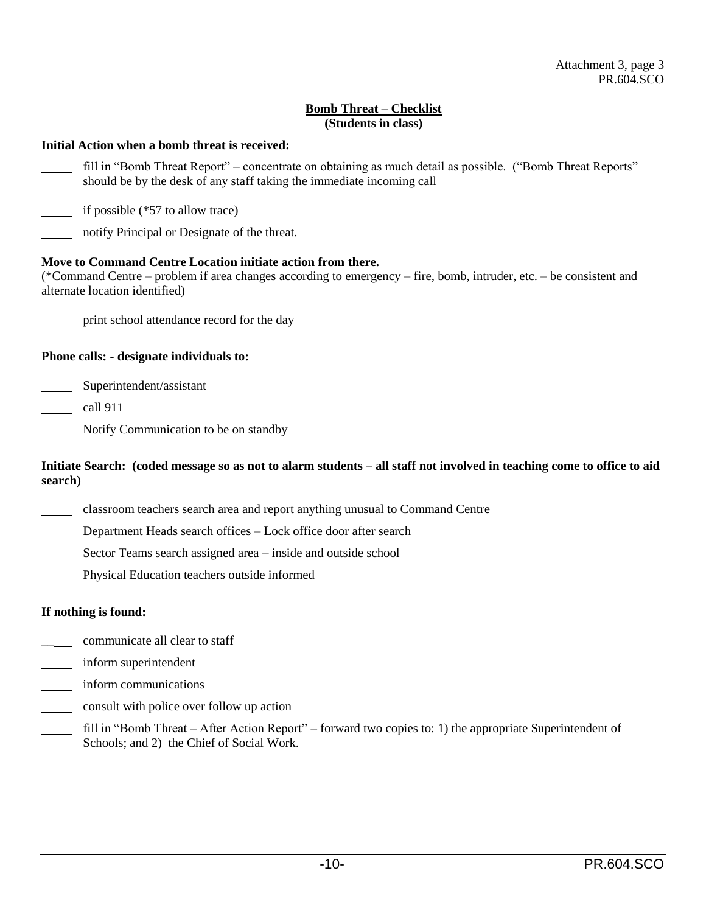## **Bomb Threat – Checklist (Students in class)**

# **Initial Action when a bomb threat is received:** fill in "Bomb Threat Report" – concentrate on obtaining as much detail as possible. ("Bomb Threat Reports" should be by the desk of any staff taking the immediate incoming call if possible (\*57 to allow trace) notify Principal or Designate of the threat. **Move to Command Centre Location initiate action from there.** (\*Command Centre – problem if area changes according to emergency – fire, bomb, intruder, etc. – be consistent and alternate location identified) print school attendance record for the day **Phone calls: - designate individuals to:** Superintendent/assistant call 911 Notify Communication to be on standby **Initiate Search: (coded message so as not to alarm students – all staff not involved in teaching come to office to aid search)**

- classroom teachers search area and report anything unusual to Command Centre
- Department Heads search offices Lock office door after search
- Sector Teams search assigned area inside and outside school
- Physical Education teachers outside informed

# **If nothing is found:**

- communicate all clear to staff
- inform superintendent
- inform communications  $\overline{\phantom{a}}$
- consult with police over follow up action
- fill in "Bomb Threat After Action Report" forward two copies to: 1) the appropriate Superintendent of Schools; and 2) the Chief of Social Work.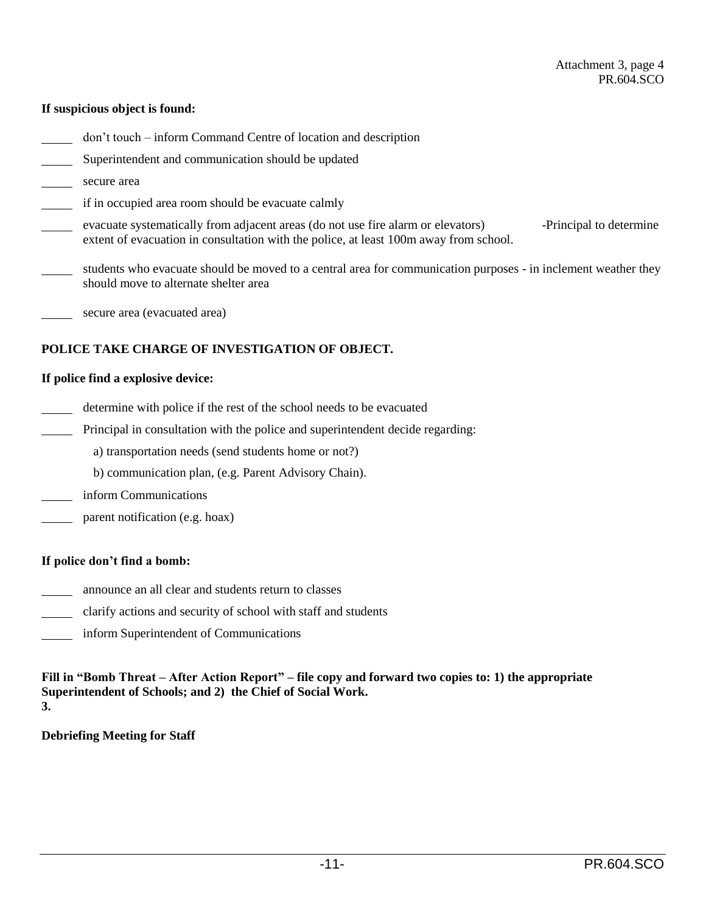### **If suspicious object is found:**

- don't touch inform Command Centre of location and description
- Superintendent and communication should be updated
- secure area
- if in occupied area room should be evacuate calmly
- evacuate systematically from adjacent areas (do not use fire alarm or elevators) -Principal to determine extent of evacuation in consultation with the police, at least 100m away from school.
- students who evacuate should be moved to a central area for communication purposes in inclement weather they should move to alternate shelter area
- secure area (evacuated area)

## **POLICE TAKE CHARGE OF INVESTIGATION OF OBJECT.**

### **If police find a explosive device:**

- determine with police if the rest of the school needs to be evacuated
- Principal in consultation with the police and superintendent decide regarding:

a) transportation needs (send students home or not?)

- b) communication plan, (e.g. Parent Advisory Chain).
- inform Communications
- parent notification (e.g. hoax)

### **If police don't find a bomb:**

- announce an all clear and students return to classes
- clarify actions and security of school with staff and students
- inform Superintendent of Communications

**Fill in "Bomb Threat – After Action Report" – file copy and forward two copies to: 1) the appropriate Superintendent of Schools; and 2) the Chief of Social Work. 3.**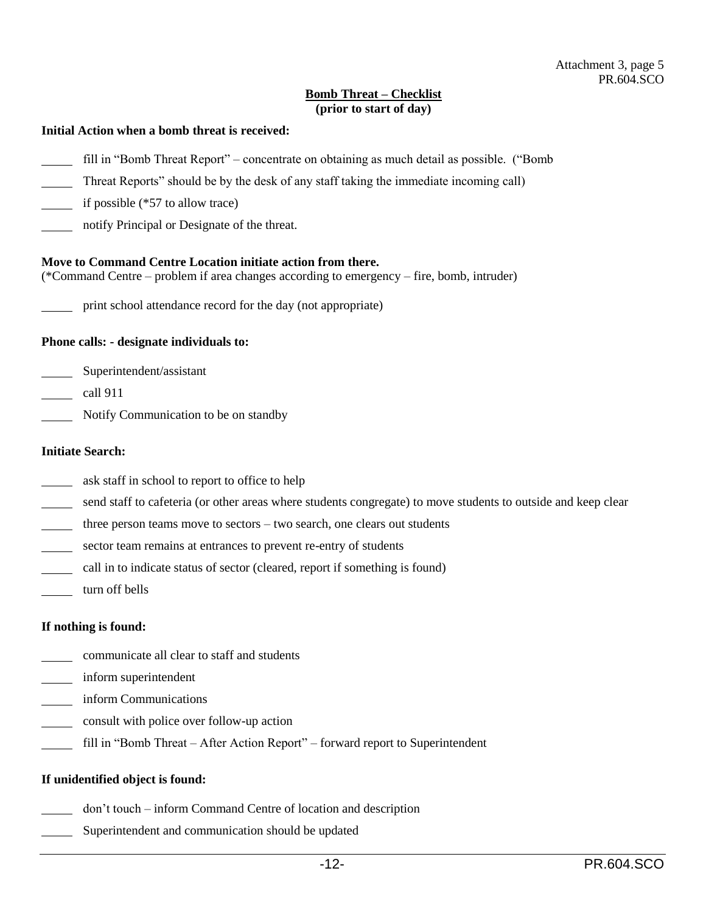# **Bomb Threat – Checklist (prior to start of day)**

#### **Initial Action when a bomb threat is received:**

- fill in "Bomb Threat Report" concentrate on obtaining as much detail as possible. ("Bomb
- Threat Reports" should be by the desk of any staff taking the immediate incoming call)
- $\frac{1}{\sqrt{1-\frac{1}{\sqrt{1-\frac{1}{\sqrt{1-\frac{1}{\sqrt{1-\frac{1}{\sqrt{1-\frac{1}{\sqrt{1-\frac{1}{\sqrt{1-\frac{1}{\sqrt{1-\frac{1}{\sqrt{1-\frac{1}{\sqrt{1-\frac{1}{\sqrt{1-\frac{1}{\sqrt{1-\frac{1}{\sqrt{1-\frac{1}{\sqrt{1-\frac{1}{\sqrt{1-\frac{1}{\sqrt{1-\frac{1}{\sqrt{1-\frac{1}{\sqrt{1-\frac{1}{\sqrt{1-\frac{1}{\sqrt{1-\frac{1}{\sqrt{1-\frac{1}{\sqrt{1-\frac{1}{\sqrt{1-\frac{1}{\sqrt{1-\frac{1$
- notify Principal or Designate of the threat.

#### **Move to Command Centre Location initiate action from there.**

(\*Command Centre – problem if area changes according to emergency – fire, bomb, intruder)

print school attendance record for the day (not appropriate)

#### **Phone calls: - designate individuals to:**

- Superintendent/assistant  $\mathcal{L}_{\text{max}}$  .
- call  $911$
- Notify Communication to be on standby

#### **Initiate Search:**

- ask staff in school to report to office to help
- send staff to cafeteria (or other areas where students congregate) to move students to outside and keep clear
- three person teams move to sectors two search, one clears out students
- sector team remains at entrances to prevent re-entry of students
- call in to indicate status of sector (cleared, report if something is found)
- turn off bells

#### **If nothing is found:**

- communicate all clear to staff and students
- inform superintendent
- inform Communications
- consult with police over follow-up action
- fill in "Bomb Threat After Action Report" forward report to Superintendent

### **If unidentified object is found:**

- don't touch inform Command Centre of location and description
- Superintendent and communication should be updated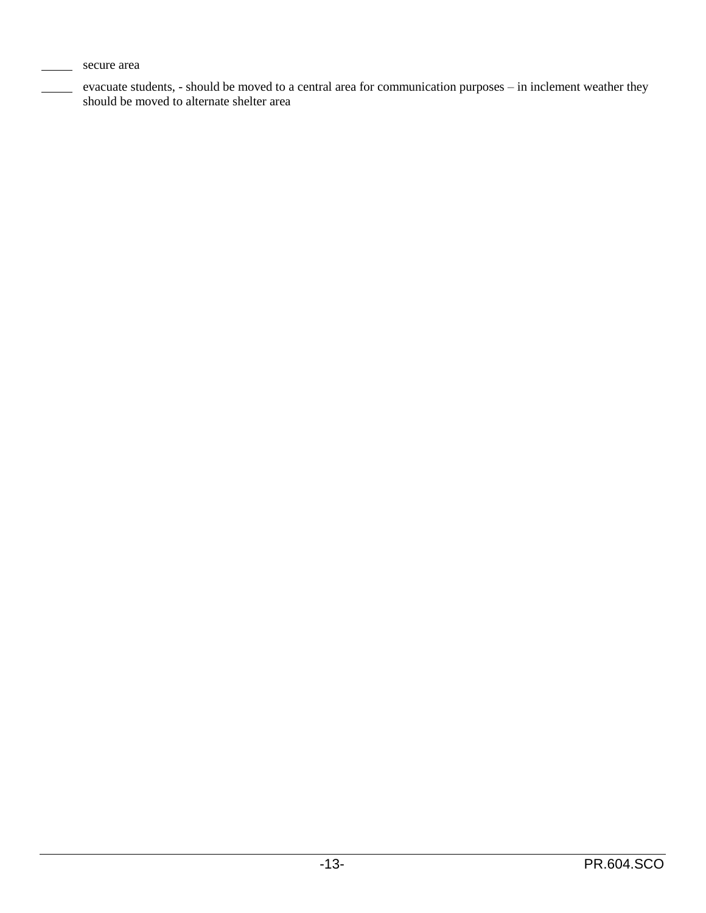secure area

evacuate students, - should be moved to a central area for communication purposes – in inclement weather they should be moved to alternate shelter area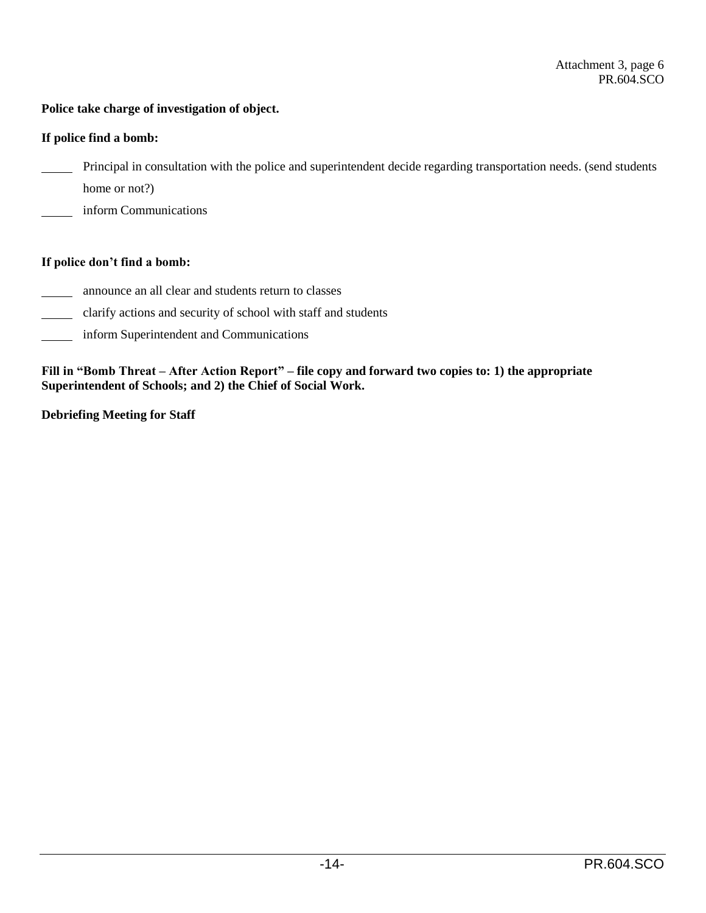## **Police take charge of investigation of object.**

### **If police find a bomb:**

- Principal in consultation with the police and superintendent decide regarding transportation needs. (send students
- home or not?)
- inform Communications

## **If police don't find a bomb:**

- announce an all clear and students return to classes
- clarify actions and security of school with staff and students
- inform Superintendent and Communications

**Fill in "Bomb Threat – After Action Report" – file copy and forward two copies to: 1) the appropriate Superintendent of Schools; and 2) the Chief of Social Work.**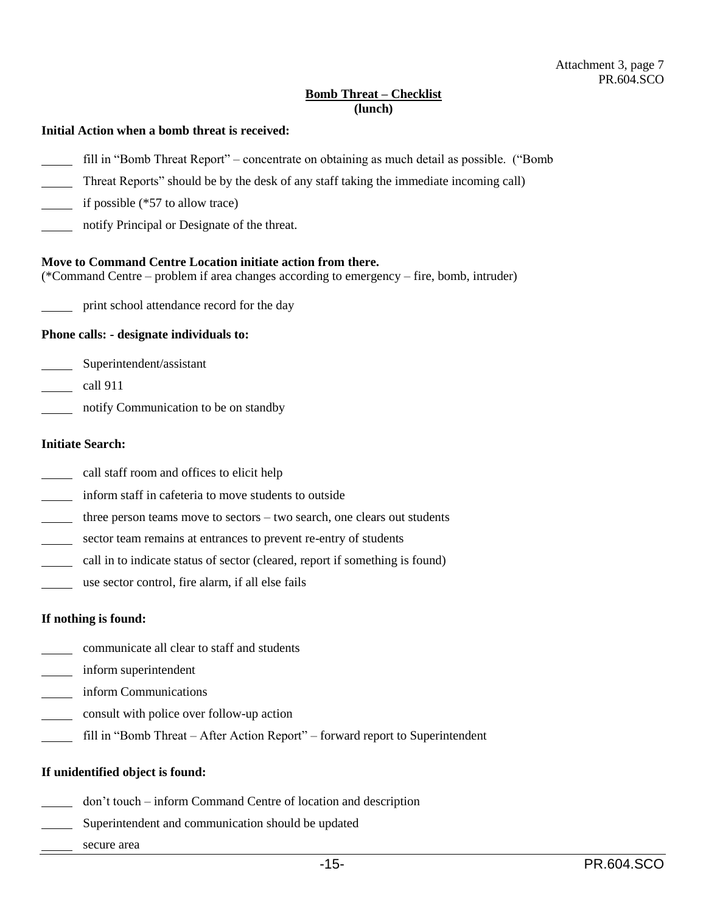## **Bomb Threat – Checklist (lunch)**

#### **Initial Action when a bomb threat is received:**

- fill in "Bomb Threat Report" concentrate on obtaining as much detail as possible. ("Bomb
- Threat Reports" should be by the desk of any staff taking the immediate incoming call)
- if possible (\*57 to allow trace)
- notify Principal or Designate of the threat.

#### **Move to Command Centre Location initiate action from there.**

(\*Command Centre – problem if area changes according to emergency – fire, bomb, intruder)

print school attendance record for the day

#### **Phone calls: - designate individuals to:**

- Superintendent/assistant
- call 911
- notify Communication to be on standby

## **Initiate Search:**

- call staff room and offices to elicit help
- inform staff in cafeteria to move students to outside
- three person teams move to sectors two search, one clears out students  $\mathbb{R}^n$
- sector team remains at entrances to prevent re-entry of students  $\mathcal{L}_{\text{max}}$
- call in to indicate status of sector (cleared, report if something is found)
- use sector control, fire alarm, if all else fails

#### **If nothing is found:**

- communicate all clear to staff and students
- inform superintendent
- inform Communications
- consult with police over follow-up action
- fill in "Bomb Threat After Action Report" forward report to Superintendent

#### **If unidentified object is found:**

- don't touch inform Command Centre of location and description
- Superintendent and communication should be updated
- secure area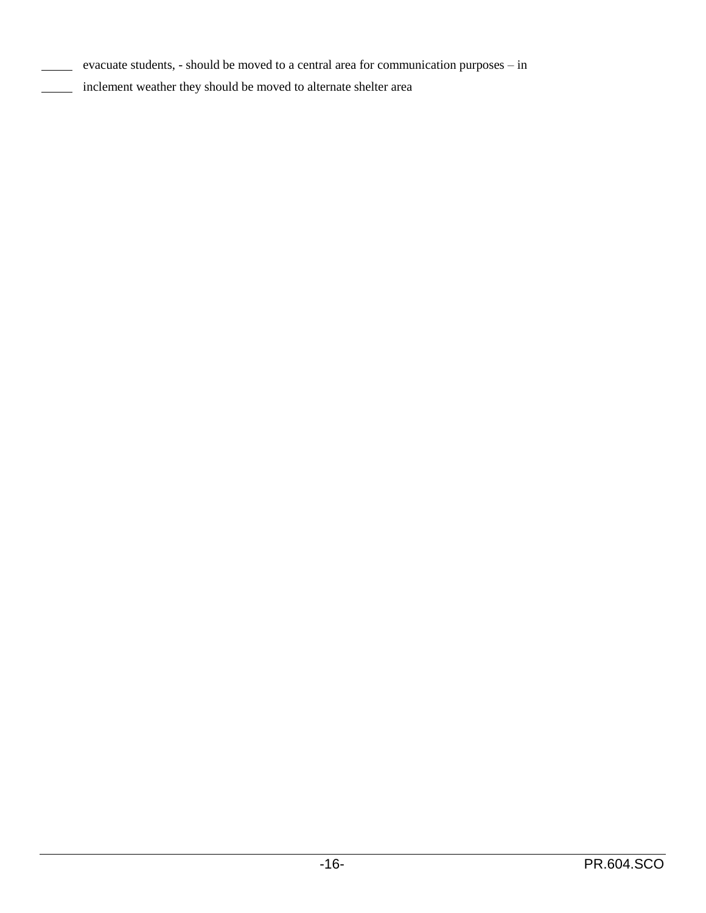- evacuate students, should be moved to a central area for communication purposes in
- inclement weather they should be moved to alternate shelter area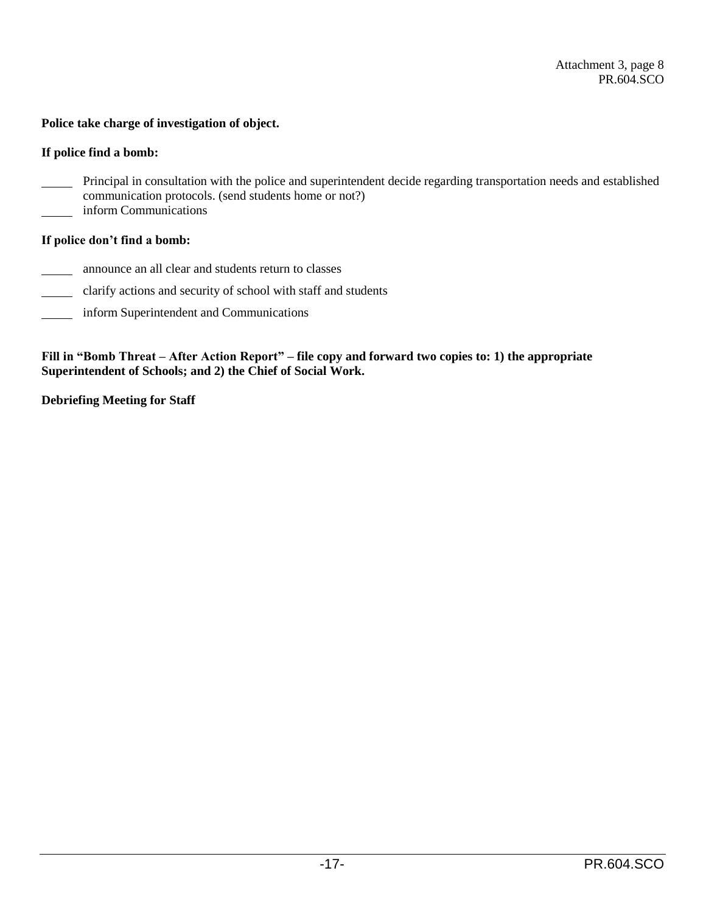## **Police take charge of investigation of object.**

### **If police find a bomb:**

- Principal in consultation with the police and superintendent decide regarding transportation needs and established communication protocols. (send students home or not?) inform Communications
- 

## **If police don't find a bomb:**

- announce an all clear and students return to classes
- clarify actions and security of school with staff and students
- inform Superintendent and Communications

**Fill in "Bomb Threat – After Action Report" – file copy and forward two copies to: 1) the appropriate Superintendent of Schools; and 2) the Chief of Social Work.**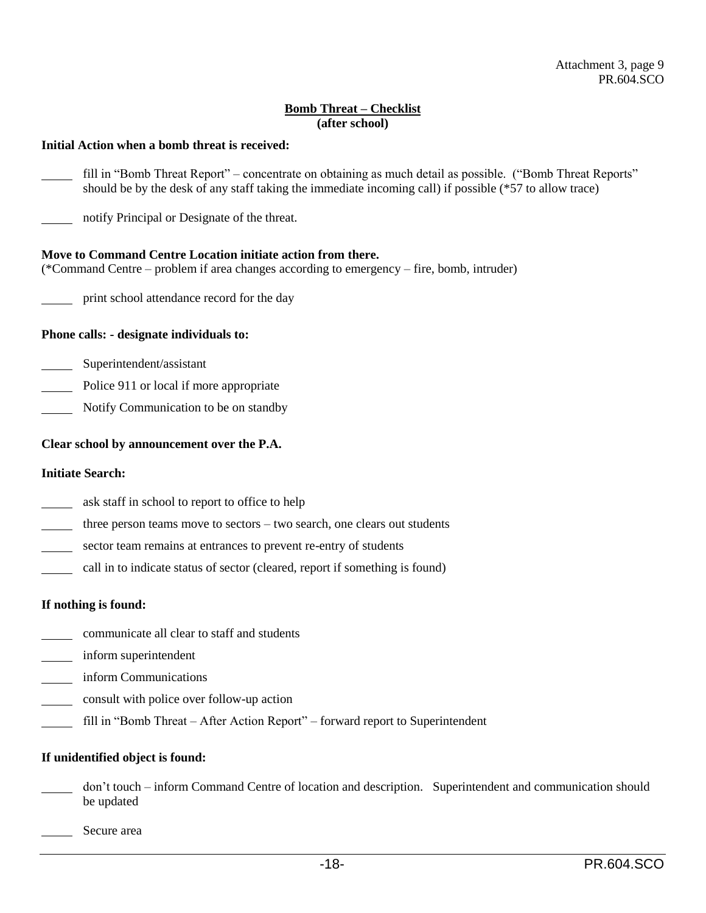## **Bomb Threat – Checklist (after school)**

#### **Initial Action when a bomb threat is received:**

- fill in "Bomb Threat Report" concentrate on obtaining as much detail as possible. ("Bomb Threat Reports" should be by the desk of any staff taking the immediate incoming call) if possible (\*57 to allow trace)
- notify Principal or Designate of the threat.

### **Move to Command Centre Location initiate action from there.**

(\*Command Centre – problem if area changes according to emergency – fire, bomb, intruder)

print school attendance record for the day

#### **Phone calls: - designate individuals to:**

- Superintendent/assistant
- Police 911 or local if more appropriate
- Notify Communication to be on standby

#### **Clear school by announcement over the P.A.**

#### **Initiate Search:**

- ask staff in school to report to office to help
- three person teams move to sectors two search, one clears out students
- sector team remains at entrances to prevent re-entry of students
- call in to indicate status of sector (cleared, report if something is found)

### **If nothing is found:**

- communicate all clear to staff and students
- inform superintendent
- **Example 1** inform Communications
- consult with police over follow-up action
- fill in "Bomb Threat After Action Report" forward report to Superintendent

#### **If unidentified object is found:**

- don't touch inform Command Centre of location and description. Superintendent and communication should be updated
- Secure area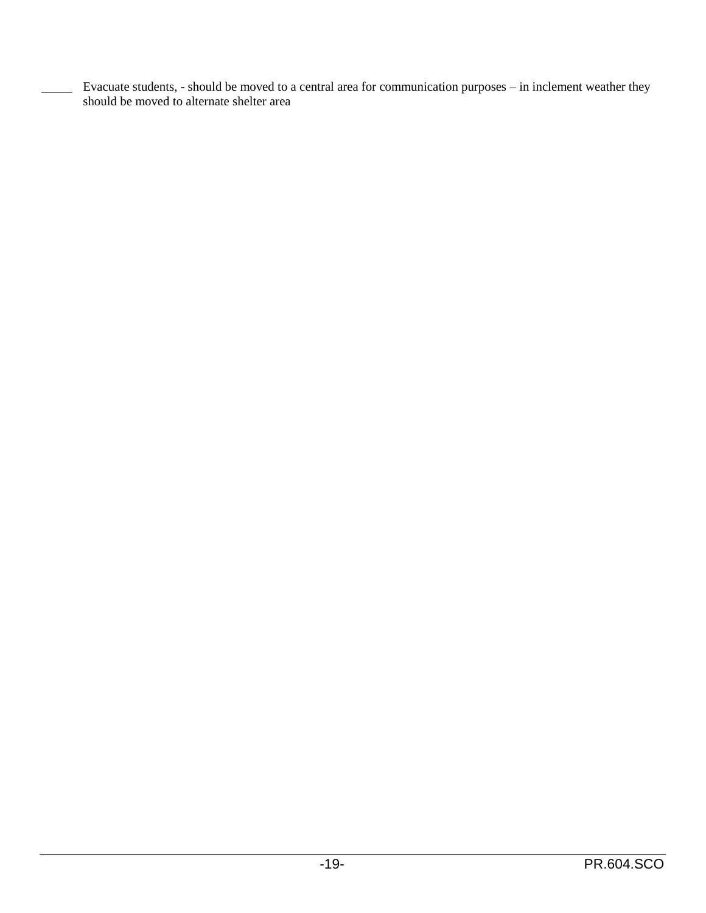Evacuate students, - should be moved to a central area for communication purposes – in inclement weather they should be moved to alternate shelter area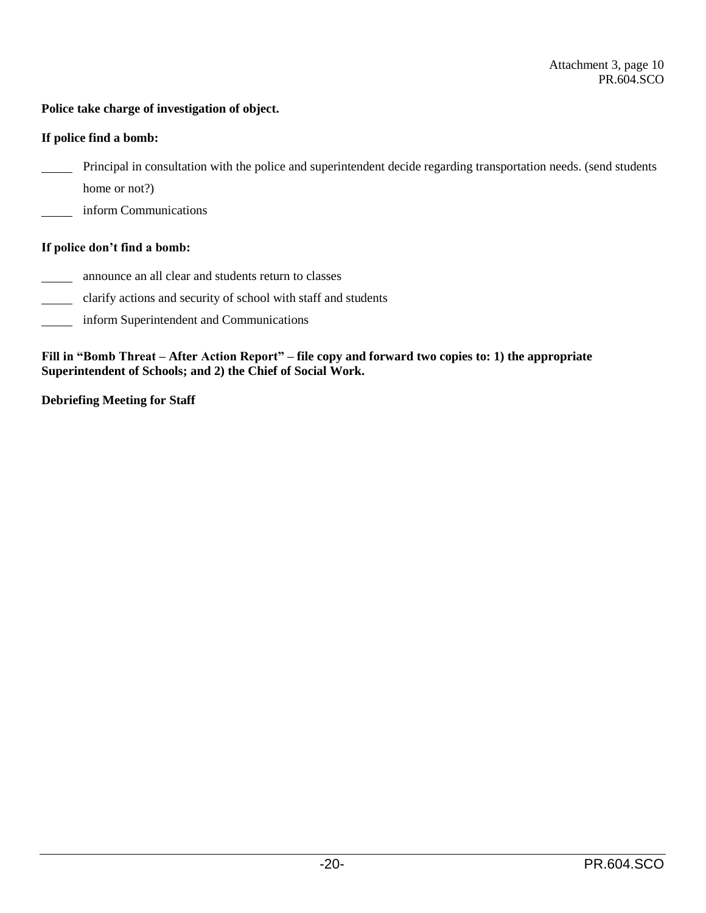# **Police take charge of investigation of object.**

## **If police find a bomb:**

- Principal in consultation with the police and superintendent decide regarding transportation needs. (send students
- home or not?)
- inform Communications

## **If police don't find a bomb:**

- announce an all clear and students return to classes
- clarify actions and security of school with staff and students  $\mathbb{R}^n$
- inform Superintendent and Communications  $\overline{\phantom{a}}$

**Fill in "Bomb Threat – After Action Report" – file copy and forward two copies to: 1) the appropriate Superintendent of Schools; and 2) the Chief of Social Work.**